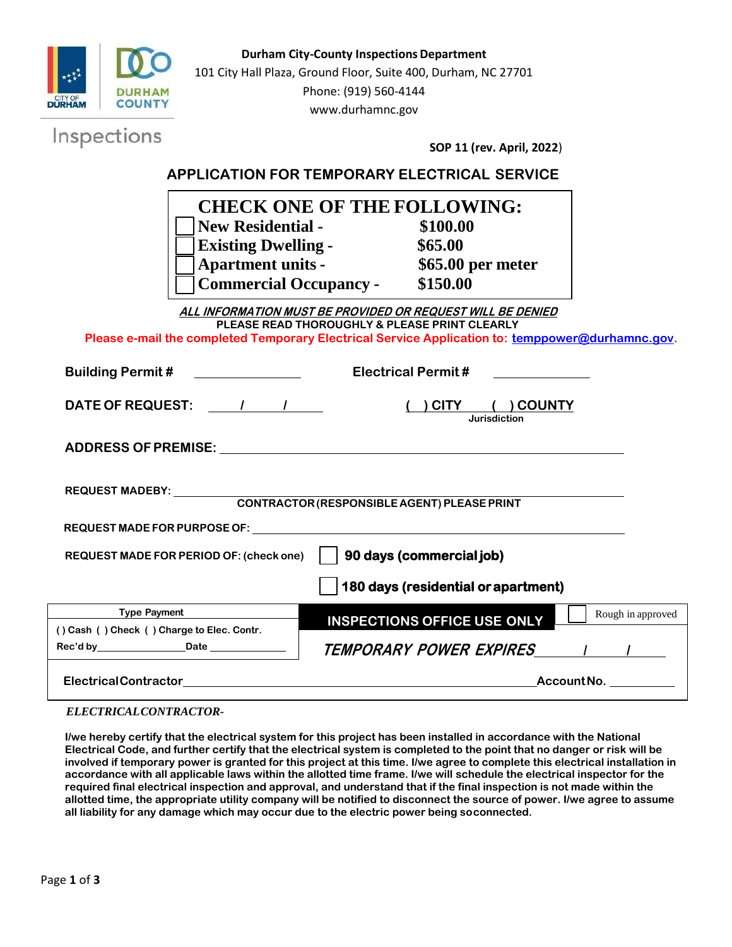

| TOO Gays (Festachtar of apartment)         |                                                         |
|--------------------------------------------|---------------------------------------------------------|
| <b>Type Payment</b>                        | Rough in approved<br><b>INSPECTIONS OFFICE USE ONLY</b> |
| () Cash () Check () Charge to Elec. Contr. |                                                         |
| Rec'd by<br><b>Date</b>                    | <b>TEMPORARY POWER EXPIRES</b>                          |
| <b>ElectricalContractor</b>                | AccountNo.                                              |

## *ELECTRICALCONTRACTOR-*

**I/we hereby certify that the electrical system for this project has been installed in accordance with the National Electrical Code, and further certify that the electrical system is completed to the point that no danger or risk will be involved if temporary power is granted for this project at this time. I/we agree to complete this electrical installation in accordance with all applicable laws within the allotted time frame. I/we will schedule the electrical inspector for the required final electrical inspection and approval, and understand that if the final inspection is not made within the allotted time, the appropriate utility company will be notified to disconnect the source of power. I/we agree to assume all liability for any damage which may occur due to the electric power being soconnected.**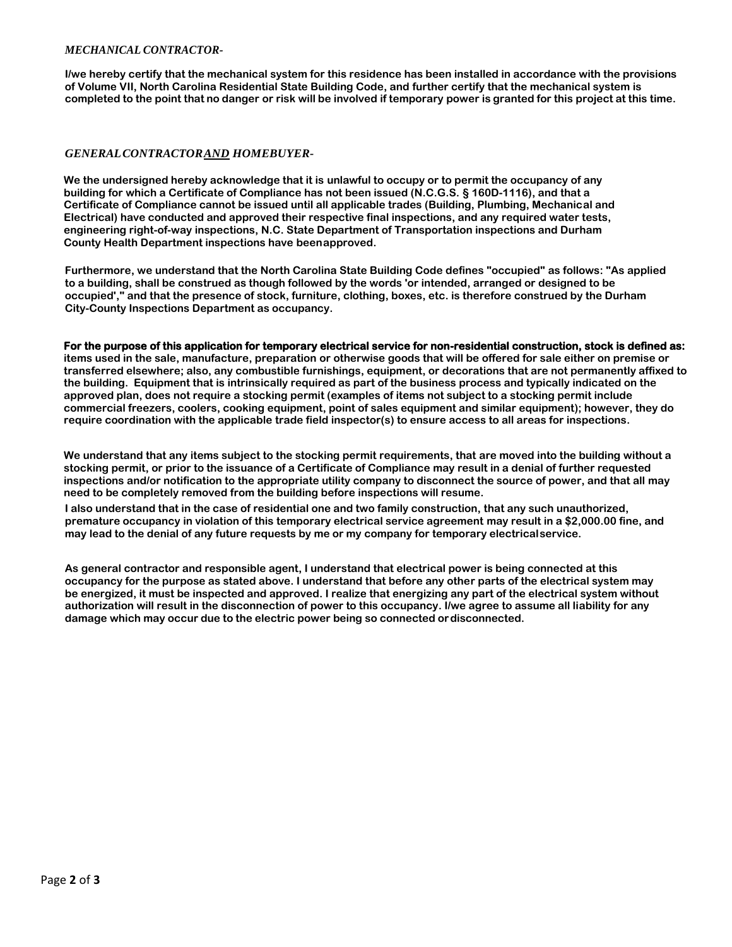## *MECHANICAL CONTRACTOR-*

**I/we hereby certify that the mechanical system for this residence has been installed in accordance with the provisions of Volume VII, North Carolina Residential State Building Code, and further certify that the mechanical system is**  completed to the point that no danger or risk will be involved if temporary power is granted for this project at this time.

## *GENERALCONTRACTORAND HOMEBUYER-*

**We the undersigned hereby acknowledge that it is unlawful to occupy or to permit the occupancy of any building for which a Certificate of Compliance has not been issued (N.C.G.S. § 160D-1116), and that a Certificate of Compliance cannot be issued until all applicable trades (Building, Plumbing, Mechanical and Electrical) have conducted and approved their respective final inspections, and any required water tests, engineering right-of-way inspections, N.C. State Department of Transportation inspections and Durham County Health Department inspections have beenapproved.**

**Furthermore, we understand that the North Carolina State Building Code defines "occupied" as follows: "As applied to a building, shall be construed as though followed by the words 'or intended, arranged or designed to be occupied'," and that the presence of stock, furniture, clothing, boxes, etc. is therefore construed by the Durham City-County Inspections Department as occupancy.** 

## **For the purpose of this application for temporary electrical service for non-residential construction, stock is defined as:**

**items used in the sale, manufacture, preparation or otherwise goods that will be offered for sale either on premise or transferred elsewhere; also, any combustible furnishings, equipment, or decorations that are not permanently affixed to the building. Equipment that is intrinsically required as part of the business process and typically indicated on the approved plan, does not require a stocking permit (examples of items not subject to a stocking permit include commercial freezers, coolers, cooking equipment, point of sales equipment and similar equipment); however, they do require coordination with the applicable trade field inspector(s) to ensure access to all areas for inspections.**

**We understand that any items subject to the stocking permit requirements, that are moved into the building without a stocking permit, or prior to the issuance of a Certificate of Compliance may result in a denial of further requested inspections and/or notification to the appropriate utility company to disconnect the source of power, and that all may need to be completely removed from the building before inspections will resume.** 

**I also understand that in the case of residential one and two family construction, that any such unauthorized, premature occupancy in violation of this temporary electrical service agreement may result in a \$2,000.00 fine, and may lead to the denial of any future requests by me or my company for temporary electricalservice.**

**As general contractor and responsible agent, I understand that electrical power is being connected at this occupancy for the purpose as stated above. I understand that before any other parts of the electrical system may be energized, it must be inspected and approved. I realize that energizing any part of the electrical system without authorization will result in the disconnection of power to this occupancy. I/we agree to assume all liability for any damage which may occur due to the electric power being so connected ordisconnected.**